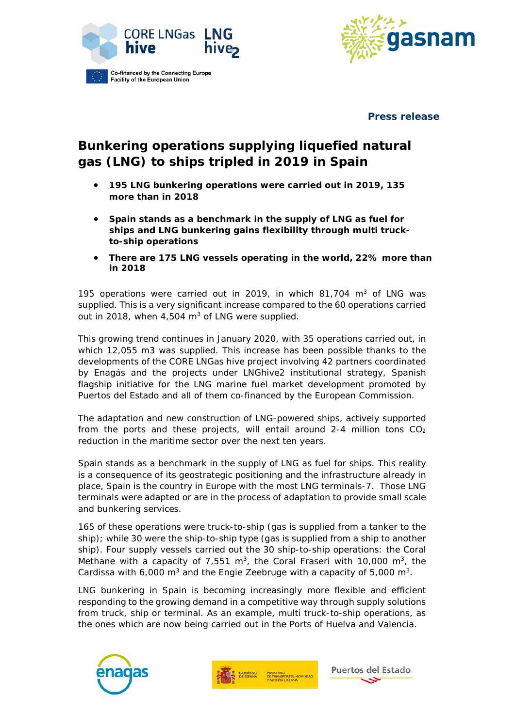



**Press release**

## **Bunkering operations supplying liquefied natural gas (LNG) to ships tripled in 2019 in Spain**

- **195 LNG bunkering operations were carried out in 2019, 135 more than in 2018**
- **Spain stands as a benchmark in the supply of LNG as fuel for ships and LNG bunkering gains flexibility through multi truckto-ship operations**
- **There are 175 LNG vessels operating in the world, 22% more than in 2018**

195 operations were carried out in 2019, in which 81,704  $m<sup>3</sup>$  of LNG was supplied. This is a very significant increase compared to the 60 operations carried out in 2018, when 4,504 m<sup>3</sup> of LNG were supplied.

This growing trend continues in January 2020, with 35 operations carried out, in which 12,055 m3 was supplied. This increase has been possible thanks to the developments of the CORE LNGas hive project involving 42 partners coordinated by Enagás and the projects under LNGhive2 institutional strategy, Spanish flagship initiative for the LNG marine fuel market development promoted by Puertos del Estado and all of them co-financed by the European Commission.

The adaptation and new construction of LNG-powered ships, actively supported from the ports and these projects, will entail around 2-4 million tons  $CO<sub>2</sub>$ reduction in the maritime sector over the next ten years.

Spain stands as a benchmark in the supply of LNG as fuel for ships. This reality is a consequence of its geostrategic positioning and the infrastructure already in place, Spain is the country in Europe with the most LNG terminals-7. Those LNG terminals were adapted or are in the process of adaptation to provide small scale and bunkering services.

165 of these operations were truck-to-ship (gas is supplied from a tanker to the ship); while 30 were the ship-to-ship type (gas is supplied from a ship to another ship). Four supply vessels carried out the 30 ship-to-ship operations: the Coral Methane with a capacity of  $7,551$  m<sup>3</sup>, the Coral Fraseri with 10,000 m<sup>3</sup>, the Cardissa with  $6,000 \text{ m}^3$  and the Engie Zeebruge with a capacity of  $5,000 \text{ m}^3$ .

LNG bunkering in Spain is becoming increasingly more flexible and efficient responding to the growing demand in a competitive way through supply solutions from truck, ship or terminal. As an example, multi truck-to-ship operations, as the ones which are now being carried out in the Ports of Huelva and Valencia.